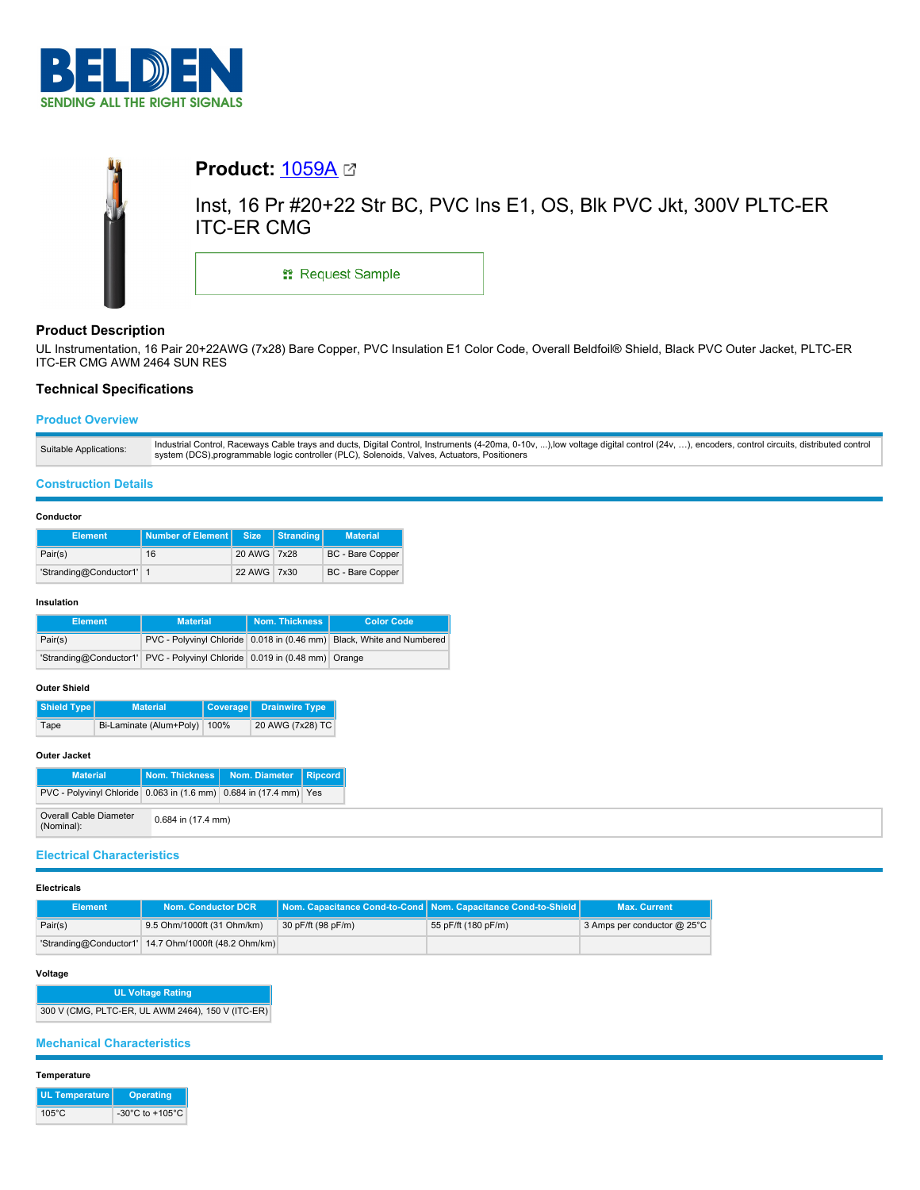



# **Product Description**

UL Instrumentation, 16 Pair 20+22AWG (7x28) Bare Copper, PVC Insulation E1 Color Code, Overall Beldfoil® Shield, Black PVC Outer Jacket, PLTC-ER ITC-ER CMG AWM 2464 SUN RES

# **Technical Specifications**

## **Product Overview**

| Suitable Applications: | Industrial Control, Raceways Cable trays and ducts, Digital Control, Instruments (4-20ma, 0-10v, ),low voltage digital control (24v, ), encoders, control circuits, distributed control<br>system (DCS), programmable logic controller (PLC), Solenoids, Valves, Actuators, Positioners |
|------------------------|-----------------------------------------------------------------------------------------------------------------------------------------------------------------------------------------------------------------------------------------------------------------------------------------|
|                        |                                                                                                                                                                                                                                                                                         |

### **Construction Details**

### **Conductor**

| <b>Element</b>           | <b>Number of Element   Size</b> |             | Stranding | <b>Material</b>  |
|--------------------------|---------------------------------|-------------|-----------|------------------|
| Pair(s)                  | 16                              | 20 AWG 7x28 |           | BC - Bare Copper |
| 'Stranding@Conductor1' 1 |                                 | 22 AWG 7x30 |           | BC - Bare Copper |

#### **Insulation**

| <b>Element</b> | <b>Material</b>                                                           | Nom. Thickness | <b>Color Code</b>                                                     |
|----------------|---------------------------------------------------------------------------|----------------|-----------------------------------------------------------------------|
| Pair(s)        |                                                                           |                | PVC - Polyvinyl Chloride 0.018 in (0.46 mm) Black, White and Numbered |
|                | 'Stranding@Conductor1' PVC - Polyvinyl Chloride 0.019 in (0.48 mm) Orange |                |                                                                       |

### **Outer Shield**

| Shield Type | <b>Material</b>         |      | Coverage Drainwire Type |
|-------------|-------------------------|------|-------------------------|
| Tape        | Bi-Laminate (Alum+Poly) | 100% | 20 AWG (7x28) TC        |

## **Outer Jacket**

| <b>Material</b>                                                   |                      | Nom. Thickness   Nom. Diameter   Ripcord |  |
|-------------------------------------------------------------------|----------------------|------------------------------------------|--|
| PVC - Polyvinyl Chloride 0.063 in (1.6 mm) 0.684 in (17.4 mm) Yes |                      |                                          |  |
| Overall Cable Diameter<br>(Nominal):                              | $0.684$ in (17.4 mm) |                                          |  |

## **Electrical Characteristics**

#### **Electricals**

| <b>Element</b> | Nom. Conductor DCR                                   |                    | Nom. Capacitance Cond-to-Cond Nom. Capacitance Cond-to-Shield | <b>Max. Current</b>              |
|----------------|------------------------------------------------------|--------------------|---------------------------------------------------------------|----------------------------------|
| Pair(s)        | 9.5 Ohm/1000ft (31 Ohm/km)                           | 30 pF/ft (98 pF/m) | 55 pF/ft (180 pF/m)                                           | 3 Amps per conductor $@$ 25 $°C$ |
|                | 'Stranding@Conductor1' 14.7 Ohm/1000ft (48.2 Ohm/km) |                    |                                                               |                                  |

# **Voltage**

**UL Voltage Rating** 300 V (CMG, PLTC-ER, UL AWM 2464), 150 V (ITC-ER)

## **Mechanical Characteristics**

### **Temperature**

| <b>UL Temperature</b> | <b>Operating</b>                      |
|-----------------------|---------------------------------------|
| $105^{\circ}$ C       | -30 $^{\circ}$ C to +105 $^{\circ}$ C |